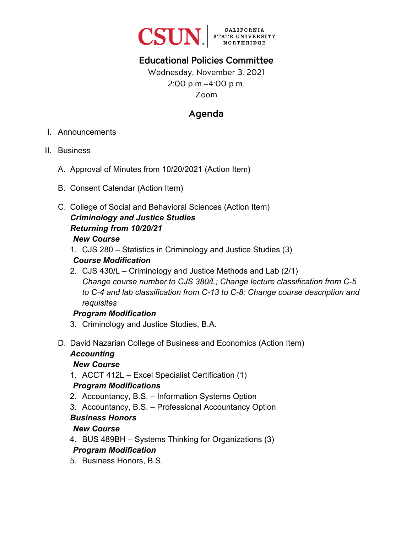

## Educational Policies Committee

Wednesday, November 3, 2021 2:00 p.m.–4:00 p.m. Zoom

## Agenda

- I. Announcements
- II. Business
	- A. Approval of Minutes from 10/20/2021 (Action Item)
	- B. Consent Calendar (Action Item)
	- C. College of Social and Behavioral Sciences (Action Item) *Criminology and Justice Studies Returning from 10/20/21 New Course*
		- 1. CJS 280 Statistics in Criminology and Justice Studies (3) *Course Modification*
		- 2. CJS 430/L Criminology and Justice Methods and Lab (2/1) *Change course number to CJS 380/L; Change lecture classification from C-5 to C-4 and lab classification from C-13 to C-8; Change course description and requisites*

#### *Program Modification*

- 3. Criminology and Justice Studies, B.A.
- D. David Nazarian College of Business and Economics (Action Item)

# *Accounting*

## *New Course*

1. ACCT 412L – Excel Specialist Certification (1)

### *Program Modifications*

- 2. Accountancy, B.S. Information Systems Option
- 3. Accountancy, B.S. Professional Accountancy Option

### *Business Honors*

#### *New Course*

- 4. BUS 489BH Systems Thinking for Organizations (3) *Program Modification*
- 5. Business Honors, B.S.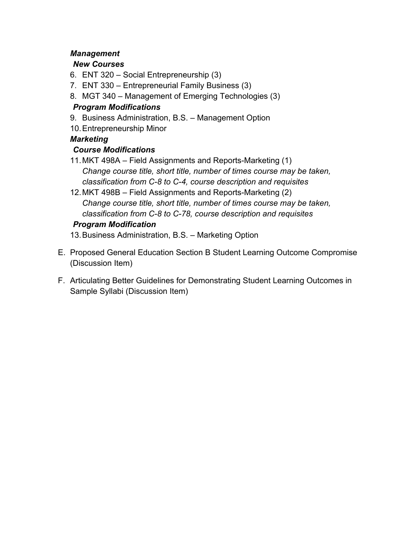### *Management*

### *New Courses*

- 6. ENT 320 Social Entrepreneurship (3)
- 7. ENT 330 Entrepreneurial Family Business (3)
- 8. MGT 340 Management of Emerging Technologies (3)

### *Program Modifications*

- 9. Business Administration, B.S. Management Option
- 10. Entrepreneurship Minor

## *Marketing*

## *Course Modifications*

- 11.MKT 498A Field Assignments and Reports-Marketing (1) *Change course title, short title, number of times course may be taken, classification from C-8 to C-4, course description and requisites*
- 12. MKT 498B Field Assignments and Reports-Marketing (2) *Change course title, short title, number of times course may be taken, classification from C-8 to C-78, course description and requisites*

## *Program Modification*

13. Business Administration, B.S. – Marketing Option

- E. Proposed General Education Section B Student Learning Outcome Compromise (Discussion Item)
- F. Articulating Better Guidelines for Demonstrating Student Learning Outcomes in Sample Syllabi (Discussion Item)